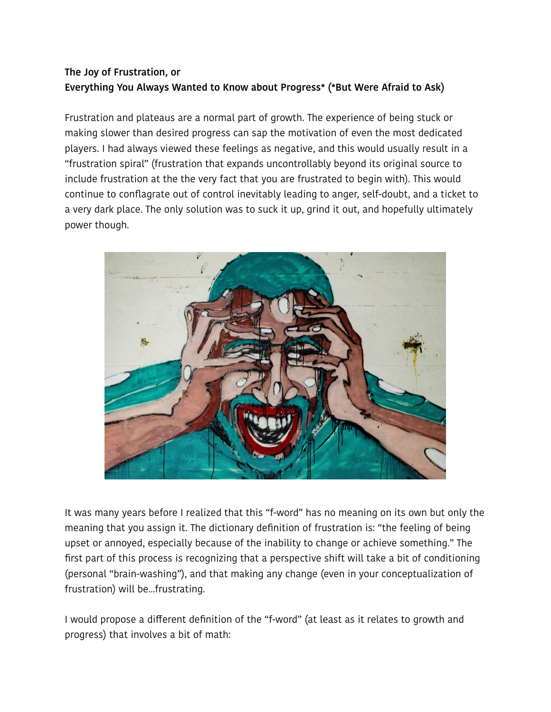# **The Joy of Frustration, or Everything You Always Wanted to Know about Progress\* (\*But Were Afraid to Ask)**

Frustration and plateaus are a normal part of growth. The experience of being stuck or making slower than desired progress can sap the motivation of even the most dedicated players. I had always viewed these feelings as negative, and this would usually result in a "frustration spiral" (frustration that expands uncontrollably beyond its original source to include frustration at the the very fact that you are frustrated to begin with). This would continue to conflagrate out of control inevitably leading to anger, self-doubt, and a ticket to a very dark place. The only solution was to suck it up, grind it out, and hopefully ultimately power though.



It was many years before I realized that this "f-word" has no meaning on its own but only the meaning that you assign it. The dictionary definition of frustration is: "the feeling of being upset or annoyed, especially because of the inability to change or achieve something." The first part of this process is recognizing that a perspective shift will take a bit of conditioning (personal "brain-washing"), and that making any change (even in your conceptualization of frustration) will be...frustrating.

I would propose a different definition of the "f-word" (at least as it relates to growth and progress) that involves a bit of math: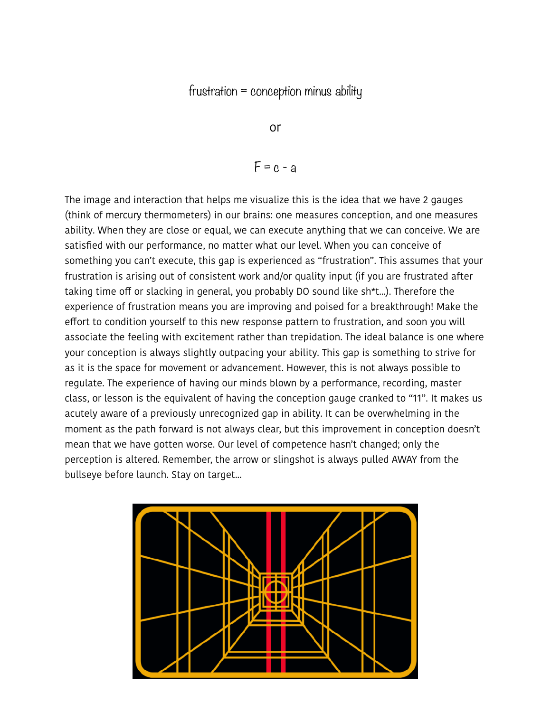## frustration = conception minus ability

or

$$
F = c - a
$$

The image and interaction that helps me visualize this is the idea that we have 2 gauges (think of mercury thermometers) in our brains: one measures conception, and one measures ability. When they are close or equal, we can execute anything that we can conceive. We are satisfied with our performance, no matter what our level. When you can conceive of something you can't execute, this gap is experienced as "frustration". This assumes that your frustration is arising out of consistent work and/or quality input (if you are frustrated after taking time off or slacking in general, you probably DO sound like sh\*t...). Therefore the experience of frustration means you are improving and poised for a breakthrough! Make the effort to condition yourself to this new response pattern to frustration, and soon you will associate the feeling with excitement rather than trepidation. The ideal balance is one where your conception is always slightly outpacing your ability. This gap is something to strive for as it is the space for movement or advancement. However, this is not always possible to regulate. The experience of having our minds blown by a performance, recording, master class, or lesson is the equivalent of having the conception gauge cranked to "11". It makes us acutely aware of a previously unrecognized gap in ability. It can be overwhelming in the moment as the path forward is not always clear, but this improvement in conception doesn't mean that we have gotten worse. Our level of competence hasn't changed; only the perception is altered. Remember, the arrow or slingshot is always pulled AWAY from the bullseye before launch. Stay on target...